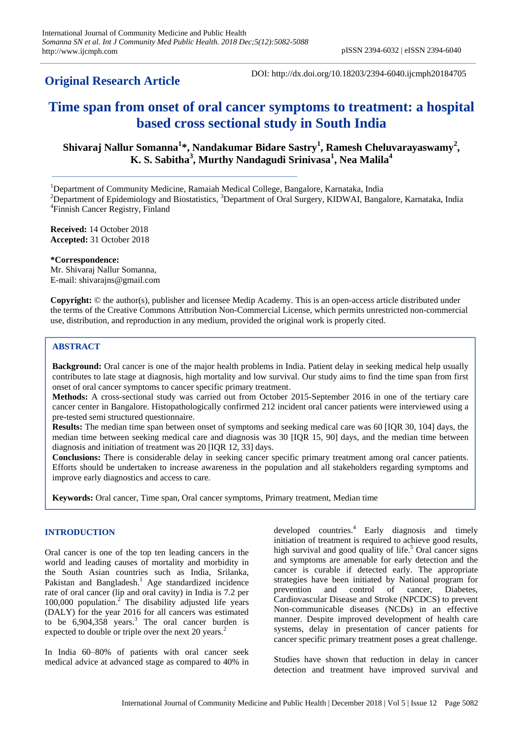## **Original Research Article**

DOI: http://dx.doi.org/10.18203/2394-6040.ijcmph20184705

# **Time span from onset of oral cancer symptoms to treatment: a hospital based cross sectional study in South India**

**Shivaraj Nallur Somanna<sup>1</sup> \*, Nandakumar Bidare Sastry<sup>1</sup> , Ramesh Cheluvarayaswamy<sup>2</sup> , K. S. Sabitha<sup>3</sup> , Murthy Nandagudi Srinivasa<sup>1</sup> , Nea Malila<sup>4</sup>**

<sup>1</sup>Department of Community Medicine, Ramaiah Medical College, Bangalore, Karnataka, India

<sup>2</sup>Department of Epidemiology and Biostatistics, <sup>3</sup>Department of Oral Surgery, KIDWAI, Bangalore, Karnataka, India 4 Finnish Cancer Registry, Finland

**Received:** 14 October 2018 **Accepted:** 31 October 2018

**\*Correspondence:**

Mr. Shivaraj Nallur Somanna, E-mail: shivarajns@gmail.com

**Copyright:** © the author(s), publisher and licensee Medip Academy. This is an open-access article distributed under the terms of the Creative Commons Attribution Non-Commercial License, which permits unrestricted non-commercial use, distribution, and reproduction in any medium, provided the original work is properly cited.

## **ABSTRACT**

**Background:** Oral cancer is one of the major health problems in India. Patient delay in seeking medical help usually contributes to late stage at diagnosis, high mortality and low survival. Our study aims to find the time span from first onset of oral cancer symptoms to cancer specific primary treatment.

**Methods:** A cross-sectional study was carried out from October 2015-September 2016 in one of the tertiary care cancer center in Bangalore. Histopathologically confirmed 212 incident oral cancer patients were interviewed using a pre-tested semi structured questionnaire.

**Results:** The median time span between onset of symptoms and seeking medical care was 60 [IQR 30, 104] days, the median time between seeking medical care and diagnosis was 30 [IQR 15, 90] days, and the median time between diagnosis and initiation of treatment was 20 [IQR 12, 33] days.

**Conclusions:** There is considerable delay in seeking cancer specific primary treatment among oral cancer patients. Efforts should be undertaken to increase awareness in the population and all stakeholders regarding symptoms and improve early diagnostics and access to care.

**Keywords:** Oral cancer, Time span, Oral cancer symptoms, Primary treatment, Median time

## **INTRODUCTION**

Oral cancer is one of the top ten leading cancers in the world and leading causes of mortality and morbidity in the South Asian countries such as India, Srilanka, Pakistan and Bangladesh.<sup>1</sup> Age standardized incidence rate of oral cancer (lip and oral cavity) in India is 7.2 per 100,000 population.<sup>2</sup> The disability adjusted life years (DALY) for the year 2016 for all cancers was estimated to be  $6,904,358$  years.<sup>3</sup> The oral cancer burden is expected to double or triple over the next 20 years.<sup>2</sup>

In India 60–80% of patients with oral cancer seek medical advice at advanced stage as compared to 40% in developed countries.<sup>4</sup> Early diagnosis and timely initiation of treatment is required to achieve good results, high survival and good quality of life.<sup>5</sup> Oral cancer signs and symptoms are amenable for early detection and the cancer is curable if detected early. The appropriate strategies have been initiated by National program for prevention and control of cancer, Diabetes, Cardiovascular Disease and Stroke (NPCDCS) to prevent Non-communicable diseases (NCDs) in an effective manner. Despite improved development of health care systems, delay in presentation of cancer patients for cancer specific primary treatment poses a great challenge.

Studies have shown that reduction in delay in cancer detection and treatment have improved survival and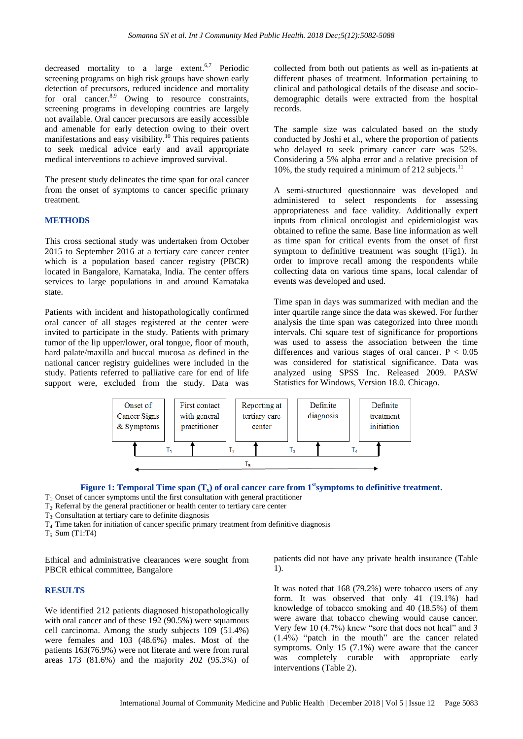decreased mortality to a large extent.<sup>6,7</sup> Periodic screening programs on high risk groups have shown early detection of precursors, reduced incidence and mortality for oral cancer.<sup>8,9</sup> Owing to resource constraints, screening programs in developing countries are largely not available. Oral cancer precursors are easily accessible and amenable for early detection owing to their overt manifestations and easy visibility.<sup>10</sup> This requires patients to seek medical advice early and avail appropriate medical interventions to achieve improved survival.

The present study delineates the time span for oral cancer from the onset of symptoms to cancer specific primary treatment.

#### **METHODS**

This cross sectional study was undertaken from October 2015 to September 2016 at a tertiary care cancer center which is a population based cancer registry (PBCR) located in Bangalore, Karnataka, India. The center offers services to large populations in and around Karnataka state.

Patients with incident and histopathologically confirmed oral cancer of all stages registered at the center were invited to participate in the study. Patients with primary tumor of the lip upper/lower, oral tongue, floor of mouth, hard palate/maxilla and buccal mucosa as defined in the national cancer registry guidelines were included in the study. Patients referred to palliative care for end of life support were, excluded from the study. Data was collected from both out patients as well as in-patients at different phases of treatment. Information pertaining to clinical and pathological details of the disease and sociodemographic details were extracted from the hospital records.

The sample size was calculated based on the study conducted by Joshi et al., where the proportion of patients who delayed to seek primary cancer care was 52%. Considering a 5% alpha error and a relative precision of 10%, the study required a minimum of 212 subjects.<sup>11</sup>

A semi-structured questionnaire was developed and administered to select respondents for assessing appropriateness and face validity. Additionally expert inputs from clinical oncologist and epidemiologist was obtained to refine the same. Base line information as well as time span for critical events from the onset of first symptom to definitive treatment was sought (Fig1). In order to improve recall among the respondents while collecting data on various time spans, local calendar of events was developed and used.

Time span in days was summarized with median and the inter quartile range since the data was skewed. For further analysis the time span was categorized into three month intervals. Chi square test of significance for proportions was used to assess the association between the time differences and various stages of oral cancer.  $P < 0.05$ was considered for statistical significance. Data was analyzed using SPSS Inc. Released 2009. PASW Statistics for Windows, Version 18.0. Chicago.





- T1: Onset of cancer symptoms until the first consultation with general practitioner
- $T_2$ : Referral by the general practitioner or health center to tertiary care center
- T3: Consultation at tertiary care to definite diagnosis
- $T<sub>4</sub>$ . Time taken for initiation of cancer specific primary treatment from definitive diagnosis

 $T_5$ : Sum (T1:T4)

Ethical and administrative clearances were sought from PBCR ethical committee, Bangalore

patients did not have any private health insurance (Table 1).

#### **RESULTS**

We identified 212 patients diagnosed histopathologically with oral cancer and of these 192 (90.5%) were squamous cell carcinoma. Among the study subjects 109 (51.4%) were females and 103 (48.6%) males. Most of the patients 163(76.9%) were not literate and were from rural areas 173 (81.6%) and the majority 202 (95.3%) of It was noted that 168 (79.2%) were tobacco users of any form. It was observed that only 41 (19.1%) had knowledge of tobacco smoking and 40 (18.5%) of them were aware that tobacco chewing would cause cancer. Very few 10  $(4.7\%)$  knew "sore that does not heal" and 3  $(1.4\%)$  "patch in the mouth" are the cancer related symptoms. Only 15 (7.1%) were aware that the cancer was completely curable with appropriate early interventions (Table 2).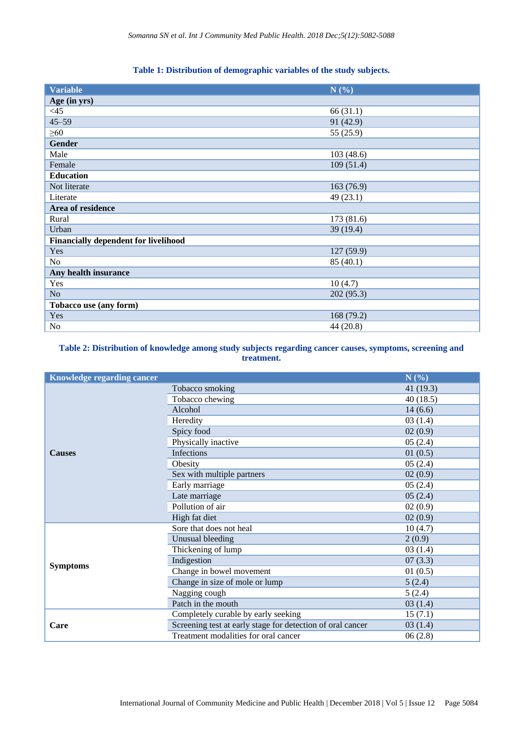## **Table 1: Distribution of demographic variables of the study subjects.**

| <b>Variable</b>                             | N(%)       |
|---------------------------------------------|------------|
| Age (in yrs)                                |            |
| $<$ 45                                      | 66 (31.1)  |
| $45 - 59$                                   | 91 (42.9)  |
| $\geq 60$                                   | 55 (25.9)  |
| <b>Gender</b>                               |            |
| Male                                        | 103 (48.6) |
| Female                                      | 109(51.4)  |
| <b>Education</b>                            |            |
| Not literate                                | 163 (76.9) |
| Literate                                    | 49 (23.1)  |
| Area of residence                           |            |
| Rural                                       | 173 (81.6) |
| Urban                                       | 39 (19.4)  |
| <b>Financially dependent for livelihood</b> |            |
| Yes                                         | 127 (59.9) |
| No                                          | 85 (40.1)  |
| Any health insurance                        |            |
| Yes                                         | 10(4.7)    |
| N <sub>o</sub>                              | 202(95.3)  |
| Tobacco use (any form)                      |            |
| Yes                                         | 168 (79.2) |
| N <sub>o</sub>                              | 44 (20.8)  |

## **Table 2: Distribution of knowledge among study subjects regarding cancer causes, symptoms, screening and treatment.**

| <b>Knowledge regarding cancer</b> |                                                            | N(%)        |
|-----------------------------------|------------------------------------------------------------|-------------|
|                                   | Tobacco smoking                                            | 41 $(19.3)$ |
|                                   | Tobacco chewing                                            | 40(18.5)    |
|                                   | Alcohol                                                    | 14(6.6)     |
|                                   | Heredity                                                   | 03(1.4)     |
|                                   | Spicy food                                                 | 02(0.9)     |
|                                   | Physically inactive                                        | 05(2.4)     |
| <b>Causes</b>                     | Infections                                                 | 01(0.5)     |
|                                   | Obesity                                                    | 05(2.4)     |
|                                   | Sex with multiple partners                                 | 02(0.9)     |
|                                   | Early marriage                                             | 05(2.4)     |
|                                   | Late marriage                                              | 05(2.4)     |
|                                   | Pollution of air                                           | 02(0.9)     |
|                                   | High fat diet                                              | 02(0.9)     |
|                                   | Sore that does not heal                                    | 10(4.7)     |
|                                   | Unusual bleeding                                           | 2(0.9)      |
|                                   | Thickening of lump                                         | 03(1.4)     |
| <b>Symptoms</b>                   | Indigestion                                                | 07(3.3)     |
|                                   | Change in bowel movement                                   | 01(0.5)     |
|                                   | Change in size of mole or lump                             | 5(2.4)      |
|                                   | Nagging cough                                              | 5(2.4)      |
|                                   | Patch in the mouth                                         | 03(1.4)     |
|                                   | Completely curable by early seeking                        | 15(7.1)     |
| Care                              | Screening test at early stage for detection of oral cancer | 03(1.4)     |
|                                   | Treatment modalities for oral cancer                       | 06(2.8)     |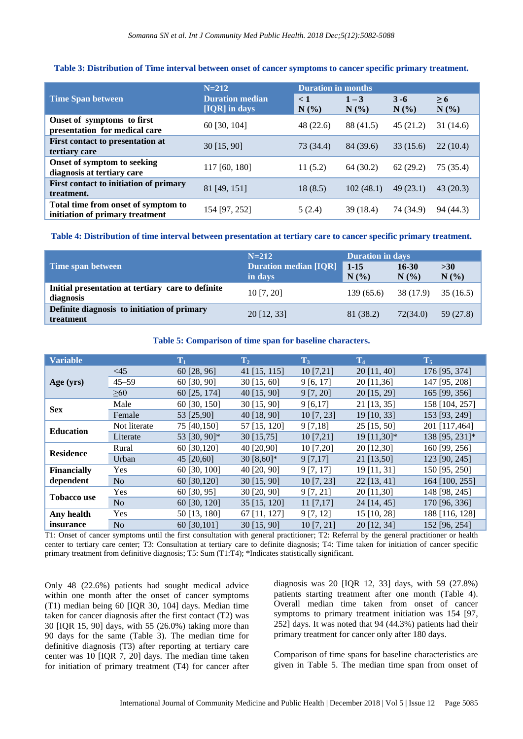## **Table 3: Distribution of Time interval between onset of cancer symptoms to cancer specific primary treatment.**

|                                                                        | $N = 212$                               | <b>Duration in months</b> |                 |                 |                     |
|------------------------------------------------------------------------|-----------------------------------------|---------------------------|-----------------|-----------------|---------------------|
| <b>Time Span between</b>                                               | <b>Duration median</b><br>[IQR] in days | $\lt 1$<br>N(%)           | $1 - 3$<br>N(%) | $3 - 6$<br>N(%) | $\geq 6$<br>$N(\%)$ |
| Onset of symptoms to first<br>presentation for medical care            | 60 [30, 104]                            | 48(22.6)                  | 88 (41.5)       | 45(21.2)        | 31(14.6)            |
| First contact to presentation at<br>tertiary care                      | $30$ [15, 90]                           | 73 (34.4)                 | 84 (39.6)       | 33(15.6)        | 22(10.4)            |
| Onset of symptom to seeking<br>diagnosis at tertiary care              | 117 [60, 180]                           | 11(5.2)                   | 64 (30.2)       | 62(29.2)        | 75(35.4)            |
| First contact to initiation of primary<br>treatment.                   | 81 [49, 151]                            | 18(8.5)                   | 102(48.1)       | 49(23.1)        | 43(20.3)            |
| Total time from onset of symptom to<br>initiation of primary treatment | 154 [97, 252]                           | 5(2.4)                    | 39 (18.4)       | 74 (34.9)       | 94 (44.3)           |

## **Table 4: Distribution of time interval between presentation at tertiary care to cancer specific primary treatment.**

|                                                                | $N = 212$                               | <b>Duration in days</b> |               |                |
|----------------------------------------------------------------|-----------------------------------------|-------------------------|---------------|----------------|
| Time span between                                              | <b>Duration median [IQR]</b><br>in days | $1 - 15$<br>N(%         | 16-30<br>N(%) | >30<br>$N(\%)$ |
| Initial presentation at tertiary care to definite<br>diagnosis | $10$ [7, 20]                            | 139(65.6)               | 38 (17.9)     | 35(16.5)       |
| Definite diagnosis to initiation of primary<br>treatment       | 20 [12, 33]                             | 81 (38.2)               | 72(34.0)      | 59 (27.8)      |

#### **Table 5: Comparison of time span for baseline characters.**

| <b>Variable</b>    |                | $\mathbf{T}_1$ | T <sub>2</sub> | $\rm T_3$    | T <sub>4</sub> | $T_5$          |
|--------------------|----------------|----------------|----------------|--------------|----------------|----------------|
|                    | <45            | 60 [28, 96]    | 41 $[15, 115]$ | $10$ [7,21]  | 20 [11, 40]    | 176 [95, 374]  |
| Age (yrs)          | $45 - 59$      | 60 [30, 90]    | $30$ [15, 60]  | 9[6, 17]     | 20 [11,36]     | 147 [95, 208]  |
|                    | $\geq 60$      | 60 [25, 174]   | 40 [15, 90]    | 9 [7, 20]    | 20 [15, 29]    | 165 [99, 356]  |
| <b>Sex</b>         | Male           | 60 [30, 150]   | $30$ [15, 90]  | 9[6,17]      | 21 [13, 35]    | 158 [104, 257] |
|                    | Female         | 53 [25,90]     | 40 [18, 90]    | $10$ [7, 23] | 19 [10, 33]    | 153 [93, 249]  |
|                    | Not literate   | 75 [40,150]    | 57 [15, 120]   | 9 [7, 18]    | $25$ [15, 50]  | 201 [117,464]  |
| <b>Education</b>   | Literate       | 53 [30, 90]*   | 30 [15,75]     | 10 [7,21]    | 19 [11,30]*    | 138 [95, 231]* |
| <b>Residence</b>   | Rural          | 60 [30,120]    | 40 [20,90]     | 10 [7,20]    | 20 [12,30]     | 160 [99, 256]  |
|                    | Urban          | 45 [20,60]     | 30 $[8,60]$ *  | 9 [7,17]     | 21 [13,50]     | 123 [90, 245]  |
| <b>Financially</b> | Yes            | 60 [30, 100]   | 40 [20, 90]    | 9 [7, 17]    | 19 [11, 31]    | 150 [95, 250]  |
| dependent          | N <sub>o</sub> | 60 [30,120]    | $30$ [15, 90]  | 10[7, 23]    | $22$ [13, 41]  | 164 [100, 255] |
|                    | Yes            | 60 [30, 95]    | 30 [20, 90]    | 9 [7, 21]    | 20 [11,30]     | 148 [98, 245]  |
| <b>Tobacco use</b> | N <sub>o</sub> | 60 [30, 120]   | 35 [15, 120]   | $11$ [7,17]  | 24 [14, 45]    | 170 [96, 336]  |
| Any health         | Yes            | 50 [13, 180]   | 67 [11, 127]   | 9 [7, 12]    | 15 [10, 28]    | 188 [116, 128] |
| insurance          | No             | 60 [30,101]    | $30$ [15, 90]  | 10 [7, 21]   | 20 [12, 34]    | 152 [96, 254]  |

T1: Onset of cancer symptoms until the first consultation with general practitioner; T2: Referral by the general practitioner or health center to tertiary care center; T3: Consultation at tertiary care to definite diagnosis; T4: Time taken for initiation of cancer specific primary treatment from definitive diagnosis; T5: Sum (T1:T4); \*Indicates statistically significant.

Only 48 (22.6%) patients had sought medical advice within one month after the onset of cancer symptoms (T1) median being 60 [IQR 30, 104] days. Median time taken for cancer diagnosis after the first contact (T2) was 30 [IQR 15, 90] days, with 55 (26.0%) taking more than 90 days for the same (Table 3). The median time for definitive diagnosis (T3) after reporting at tertiary care center was 10 [IQR 7, 20] days. The median time taken for initiation of primary treatment (T4) for cancer after diagnosis was 20 [IQR 12, 33] days, with 59 (27.8%) patients starting treatment after one month (Table 4). Overall median time taken from onset of cancer symptoms to primary treatment initiation was 154 [97, 252] days. It was noted that 94 (44.3%) patients had their primary treatment for cancer only after 180 days.

Comparison of time spans for baseline characteristics are given in Table 5. The median time span from onset of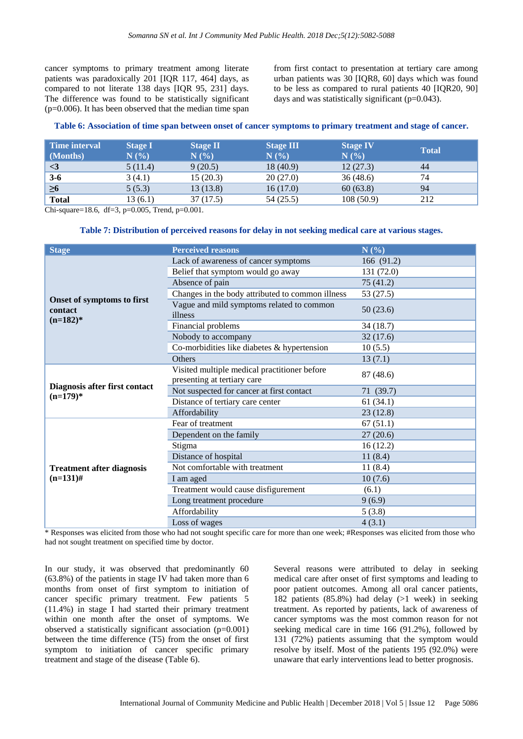cancer symptoms to primary treatment among literate patients was paradoxically 201 [IQR 117, 464] days, as compared to not literate 138 days [IQR 95, 231] days. The difference was found to be statistically significant (p=0.006). It has been observed that the median time span from first contact to presentation at tertiary care among urban patients was 30 [IQR8, 60] days which was found to be less as compared to rural patients 40 [IQR20, 90] days and was statistically significant (p=0.043).

| Table 6: Association of time span between onset of cancer symptoms to primary treatment and stage of cancer. |  |  |
|--------------------------------------------------------------------------------------------------------------|--|--|
|                                                                                                              |  |  |

| Time interval<br>  (Months)   | <b>Stage I</b><br>N(%) | <b>Stage II</b><br>N(%) | <b>Stage III</b><br>N(%) | <b>Stage IV</b><br>N(%) | <b>Total</b> |
|-------------------------------|------------------------|-------------------------|--------------------------|-------------------------|--------------|
| $\vert \langle 3 \vert \vert$ | 5(11.4)                | 9(20.5)                 | 18(40.9)                 | 12(27.3)                | 44           |
| $3-6$                         | 3(4.1)                 | 15(20.3)                | 20(27.0)                 | 36(48.6)                | 74           |
| $\geq 6$                      | 5(5.3)                 | 13(13.8)                | 16(17.0)                 | 60(63.8)                | 94           |
| <b>Total</b>                  | 13(6.1)                | 37 (17.5)               | 54 (25.5)                | 108(50.9)               | 212          |

Chi-square=18.6, df=3, p=0.005, Trend, p=0.001.

#### **Table 7: Distribution of perceived reasons for delay in not seeking medical care at various stages.**

| <b>Stage</b>                                         | <b>Perceived reasons</b>                                                    | N(%)       |
|------------------------------------------------------|-----------------------------------------------------------------------------|------------|
|                                                      | Lack of awareness of cancer symptoms                                        | 166 (91.2) |
|                                                      | Belief that symptom would go away                                           | 131 (72.0) |
|                                                      | Absence of pain                                                             | 75(41.2)   |
|                                                      | Changes in the body attributed to common illness                            | 53 (27.5)  |
| Onset of symptoms to first<br>contact<br>$(n=182)^*$ | Vague and mild symptoms related to common<br>illness                        | 50(23.6)   |
|                                                      | Financial problems                                                          | 34(18.7)   |
|                                                      | Nobody to accompany                                                         | 32(17.6)   |
|                                                      | Co-morbidities like diabetes & hypertension                                 | 10(5.5)    |
|                                                      | Others                                                                      | 13(7.1)    |
|                                                      | Visited multiple medical practitioner before<br>presenting at tertiary care | 87 (48.6)  |
| Diagnosis after first contact                        | Not suspected for cancer at first contact                                   | 71 (39.7)  |
| $(n=179)^*$                                          | Distance of tertiary care center                                            | 61(34.1)   |
|                                                      | Affordability                                                               | 23(12.8)   |
|                                                      | Fear of treatment                                                           | 67(51.1)   |
|                                                      | Dependent on the family                                                     | 27(20.6)   |
|                                                      | Stigma                                                                      | 16(12.2)   |
|                                                      | Distance of hospital                                                        | 11(8.4)    |
| <b>Treatment after diagnosis</b>                     | Not comfortable with treatment                                              | 11(8.4)    |
| $(n=131)$ #                                          | I am aged                                                                   | 10(7.6)    |
|                                                      | Treatment would cause disfigurement                                         | (6.1)      |
|                                                      | Long treatment procedure                                                    | 9(6.9)     |
|                                                      | Affordability                                                               | 5(3.8)     |
|                                                      | Loss of wages                                                               | 4(3.1)     |

\* Responses was elicited from those who had not sought specific care for more than one week; #Responses was elicited from those who had not sought treatment on specified time by doctor.

In our study, it was observed that predominantly 60 (63.8%) of the patients in stage IV had taken more than 6 months from onset of first symptom to initiation of cancer specific primary treatment. Few patients 5 (11.4%) in stage I had started their primary treatment within one month after the onset of symptoms. We observed a statistically significant association (p=0.001) between the time difference (T5) from the onset of first symptom to initiation of cancer specific primary treatment and stage of the disease (Table 6).

Several reasons were attributed to delay in seeking medical care after onset of first symptoms and leading to poor patient outcomes. Among all oral cancer patients, 182 patients (85.8%) had delay (>1 week) in seeking treatment. As reported by patients, lack of awareness of cancer symptoms was the most common reason for not seeking medical care in time 166 (91.2%), followed by 131 (72%) patients assuming that the symptom would resolve by itself. Most of the patients 195 (92.0%) were unaware that early interventions lead to better prognosis.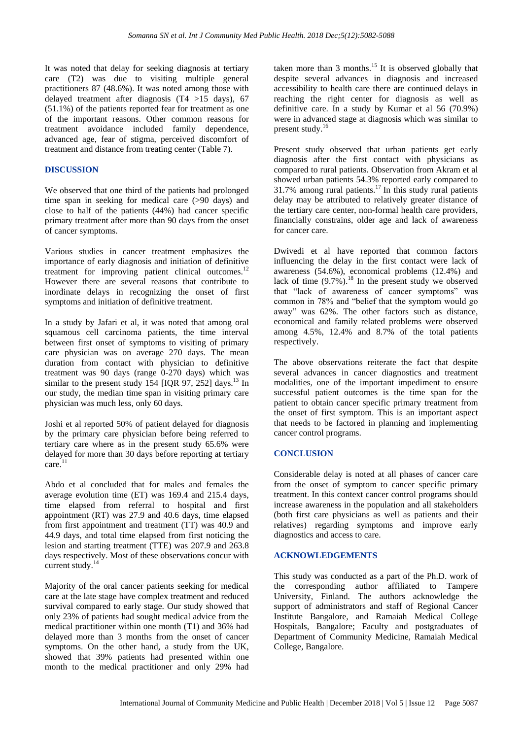It was noted that delay for seeking diagnosis at tertiary care (T2) was due to visiting multiple general practitioners 87 (48.6%). It was noted among those with delayed treatment after diagnosis (T4 >15 days), 67 (51.1%) of the patients reported fear for treatment as one of the important reasons. Other common reasons for treatment avoidance included family dependence, advanced age, fear of stigma, perceived discomfort of treatment and distance from treating center (Table 7).

#### **DISCUSSION**

We observed that one third of the patients had prolonged time span in seeking for medical care (>90 days) and close to half of the patients (44%) had cancer specific primary treatment after more than 90 days from the onset of cancer symptoms.

Various studies in cancer treatment emphasizes the importance of early diagnosis and initiation of definitive treatment for improving patient clinical outcomes.<sup>12</sup> However there are several reasons that contribute to inordinate delays in recognizing the onset of first symptoms and initiation of definitive treatment.

In a study by Jafari et al, it was noted that among oral squamous cell carcinoma patients, the time interval between first onset of symptoms to visiting of primary care physician was on average 270 days. The mean duration from contact with physician to definitive treatment was 90 days (range 0-270 days) which was similar to the present study 154 [IQR 97, 252] days.<sup>13</sup> In our study, the median time span in visiting primary care physician was much less, only 60 days.

Joshi et al reported 50% of patient delayed for diagnosis by the primary care physician before being referred to tertiary care where as in the present study 65.6% were delayed for more than 30 days before reporting at tertiary  $care.<sup>11</sup>$ 

Abdo et al concluded that for males and females the average evolution time (ET) was 169.4 and 215.4 days, time elapsed from referral to hospital and first appointment (RT) was 27.9 and 40.6 days, time elapsed from first appointment and treatment (TT) was 40.9 and 44.9 days, and total time elapsed from first noticing the lesion and starting treatment (TTE) was 207.9 and 263.8 days respectively. Most of these observations concur with current study.<sup>14</sup>

Majority of the oral cancer patients seeking for medical care at the late stage have complex treatment and reduced survival compared to early stage. Our study showed that only 23% of patients had sought medical advice from the medical practitioner within one month (T1) and 36% had delayed more than 3 months from the onset of cancer symptoms. On the other hand, a study from the UK, showed that 39% patients had presented within one month to the medical practitioner and only 29% had taken more than  $3$  months.<sup>15</sup> It is observed globally that despite several advances in diagnosis and increased accessibility to health care there are continued delays in reaching the right center for diagnosis as well as definitive care. In a study by Kumar et al 56 (70.9%) were in advanced stage at diagnosis which was similar to present study.<sup>16</sup>

Present study observed that urban patients get early diagnosis after the first contact with physicians as compared to rural patients. Observation from Akram et al showed urban patients 54.3% reported early compared to 31.7% among rural patients.<sup>17</sup> In this study rural patients delay may be attributed to relatively greater distance of the tertiary care center, non-formal health care providers, financially constrains, older age and lack of awareness for cancer care.

Dwivedi et al have reported that common factors influencing the delay in the first contact were lack of awareness (54.6%), economical problems (12.4%) and lack of time  $(9.7\%)$ .<sup>18</sup> In the present study we observed that "lack of awareness of cancer symptoms" was common in 78% and "belief that the symptom would go away" was 62%. The other factors such as distance, economical and family related problems were observed among 4.5%, 12.4% and 8.7% of the total patients respectively.

The above observations reiterate the fact that despite several advances in cancer diagnostics and treatment modalities, one of the important impediment to ensure successful patient outcomes is the time span for the patient to obtain cancer specific primary treatment from the onset of first symptom. This is an important aspect that needs to be factored in planning and implementing cancer control programs.

## **CONCLUSION**

Considerable delay is noted at all phases of cancer care from the onset of symptom to cancer specific primary treatment. In this context cancer control programs should increase awareness in the population and all stakeholders (both first care physicians as well as patients and their relatives) regarding symptoms and improve early diagnostics and access to care.

#### **ACKNOWLEDGEMENTS**

This study was conducted as a part of the Ph.D. work of the corresponding author affiliated to Tampere University, Finland. The authors acknowledge the support of administrators and staff of Regional Cancer Institute Bangalore, and Ramaiah Medical College Hospitals, Bangalore; Faculty and postgraduates of Department of Community Medicine, Ramaiah Medical College, Bangalore.